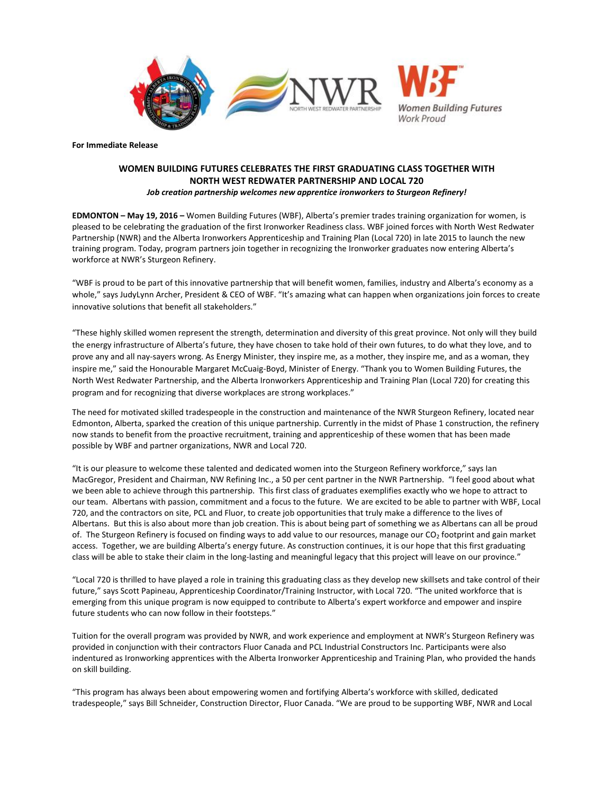

**For Immediate Release** 

# **WOMEN BUILDING FUTURES CELEBRATES THE FIRST GRADUATING CLASS TOGETHER WITH NORTH WEST REDWATER PARTNERSHIP AND LOCAL 720** *Job creation partnership welcomes new apprentice ironworkers to Sturgeon Refinery!*

**EDMONTON – May 19, 2016 –** Women Building Futures (WBF), Alberta's premier trades training organization for women, is pleased to be celebrating the graduation of the first Ironworker Readiness class. WBF joined forces with North West Redwater Partnership (NWR) and the Alberta Ironworkers Apprenticeship and Training Plan (Local 720) in late 2015 to launch the new training program. Today, program partners join together in recognizing the Ironworker graduates now entering Alberta's workforce at NWR's Sturgeon Refinery.

"WBF is proud to be part of this innovative partnership that will benefit women, families, industry and Alberta's economy as a whole," says JudyLynn Archer, President & CEO of WBF. "It's amazing what can happen when organizations join forces to create innovative solutions that benefit all stakeholders."

"These highly skilled women represent the strength, determination and diversity of this great province. Not only will they build the energy infrastructure of Alberta's future, they have chosen to take hold of their own futures, to do what they love, and to prove any and all nay-sayers wrong. As Energy Minister, they inspire me, as a mother, they inspire me, and as a woman, they inspire me," said the Honourable Margaret McCuaig-Boyd, Minister of Energy. "Thank you to Women Building Futures, the North West Redwater Partnership, and the Alberta Ironworkers Apprenticeship and Training Plan (Local 720) for creating this program and for recognizing that diverse workplaces are strong workplaces."

The need for motivated skilled tradespeople in the construction and maintenance of the NWR Sturgeon Refinery, located near Edmonton, Alberta, sparked the creation of this unique partnership. Currently in the midst of Phase 1 construction, the refinery now stands to benefit from the proactive recruitment, training and apprenticeship of these women that has been made possible by WBF and partner organizations, NWR and Local 720.

"It is our pleasure to welcome these talented and dedicated women into the Sturgeon Refinery workforce," says Ian MacGregor, President and Chairman, NW Refining Inc., a 50 per cent partner in the NWR Partnership. "I feel good about what we been able to achieve through this partnership. This first class of graduates exemplifies exactly who we hope to attract to our team. Albertans with passion, commitment and a focus to the future. We are excited to be able to partner with WBF, Local 720, and the contractors on site, PCL and Fluor, to create job opportunities that truly make a difference to the lives of Albertans. But this is also about more than job creation. This is about being part of something we as Albertans can all be proud of. The Sturgeon Refinery is focused on finding ways to add value to our resources, manage our CO<sub>2</sub> footprint and gain market access. Together, we are building Alberta's energy future. As construction continues, it is our hope that this first graduating class will be able to stake their claim in the long-lasting and meaningful legacy that this project will leave on our province."

"Local 720 is thrilled to have played a role in training this graduating class as they develop new skillsets and take control of their future," says Scott Papineau, Apprenticeship Coordinator/Training Instructor, with Local 720. "The united workforce that is emerging from this unique program is now equipped to contribute to Alberta's expert workforce and empower and inspire future students who can now follow in their footsteps."

Tuition for the overall program was provided by NWR, and work experience and employment at NWR's Sturgeon Refinery was provided in conjunction with their contractors Fluor Canada and PCL Industrial Constructors Inc. Participants were also indentured as Ironworking apprentices with the Alberta Ironworker Apprenticeship and Training Plan, who provided the hands on skill building.

"This program has always been about empowering women and fortifying Alberta's workforce with skilled, dedicated tradespeople," says Bill Schneider, Construction Director, Fluor Canada. "We are proud to be supporting WBF, NWR and Local